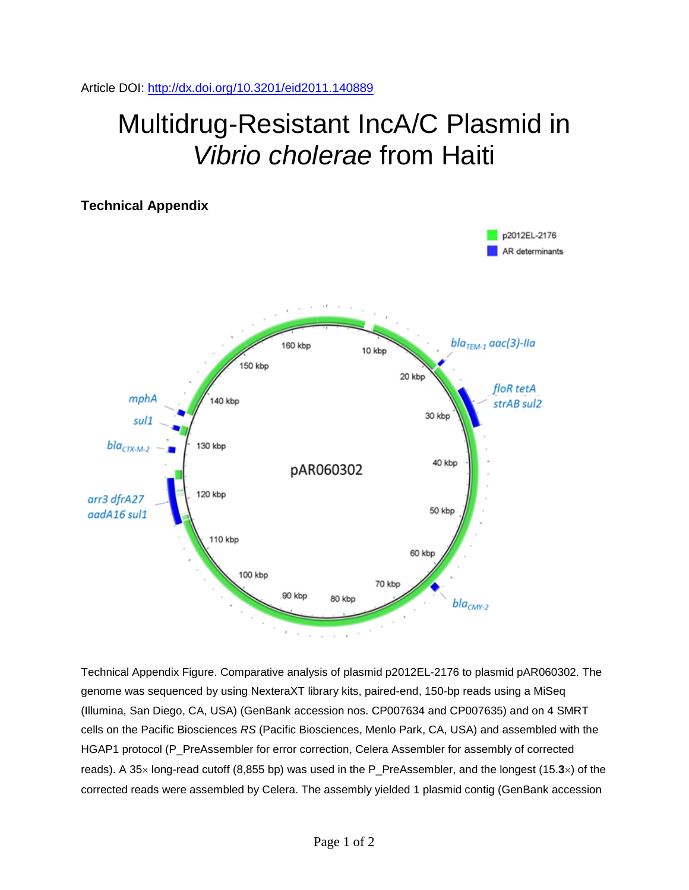Article DOI:<http://dx.doi.org/10.3201/eid2011.140889>

## Multidrug-Resistant IncA/C Plasmid in *Vibrio cholerae* from Haiti



Technical Appendix Figure. Comparative analysis of plasmid p2012EL-2176 to plasmid pAR060302. The genome was sequenced by using NexteraXT library kits, paired-end, 150-bp reads using a MiSeq (Illumina, San Diego, CA, USA) (GenBank accession nos. CP007634 and CP007635) and on 4 SMRT cells on the Pacific Biosciences *RS* (Pacific Biosciences, Menlo Park, CA, USA) and assembled with the HGAP1 protocol (P\_PreAssembler for error correction, Celera Assembler for assembly of corrected reads). A 35× long-read cutoff (8,855 bp) was used in the P\_PreAssembler, and the longest (15.**3**×) of the corrected reads were assembled by Celera. The assembly yielded 1 plasmid contig (GenBank accession